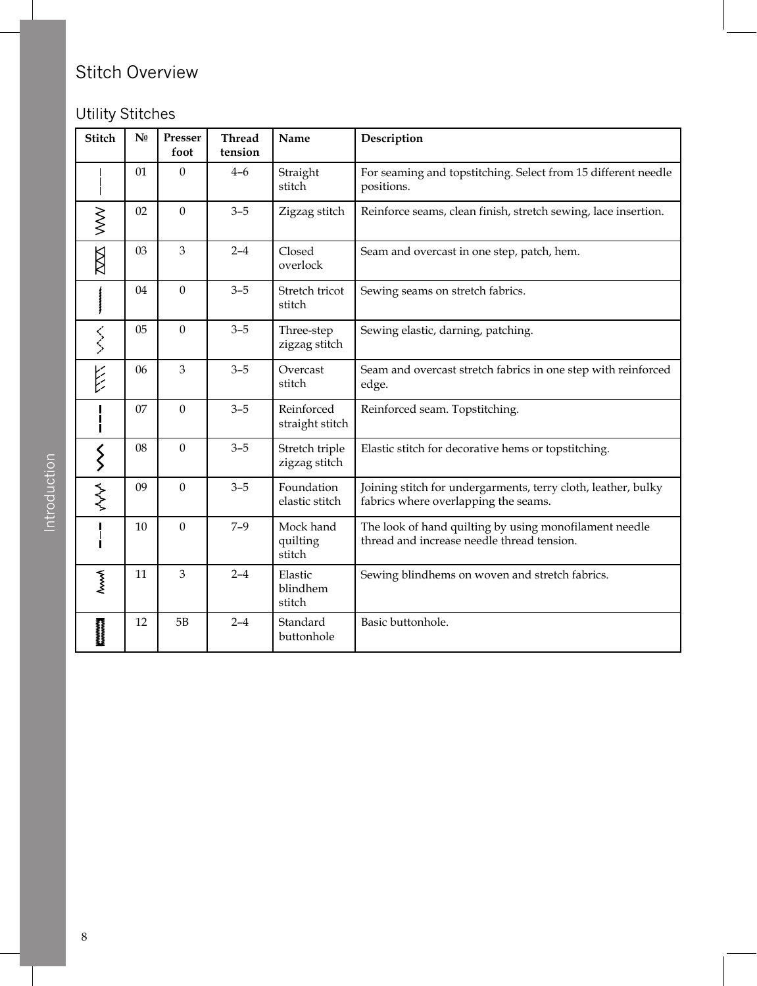## Stitch Overview

## Utility Stitches

| <b>Stitch</b>      | N <sub>0</sub> | Presser<br>foot | <b>Thread</b><br>tension | Name                            | Description                                                                                           |
|--------------------|----------------|-----------------|--------------------------|---------------------------------|-------------------------------------------------------------------------------------------------------|
|                    | 01             | $\mathbf{0}$    | $4 - 6$                  | Straight<br>stitch              | For seaming and topstitching. Select from 15 different needle<br>positions.                           |
| $\geqslant$        | 02             | $\overline{0}$  | $3 - 5$                  | Zigzag stitch                   | Reinforce seams, clean finish, stretch sewing, lace insertion.                                        |
| XXX                | 03             | 3               | $2 - 4$                  | Closed<br>overlock              | Seam and overcast in one step, patch, hem.                                                            |
|                    | 04             | $\mathbf{0}$    | $3 - 5$                  | Stretch tricot<br>stitch        | Sewing seams on stretch fabrics.                                                                      |
| くくく                | 05             | $\mathbf{0}$    | $3 - 5$                  | Three-step<br>zigzag stitch     | Sewing elastic, darning, patching.                                                                    |
| 长                  | 06             | 3               | $3 - 5$                  | Overcast<br>stitch              | Seam and overcast stretch fabrics in one step with reinforced<br>edge.                                |
|                    | 07             | $\mathbf{0}$    | $3 - 5$                  | Reinforced<br>straight stitch   | Reinforced seam. Topstitching.                                                                        |
| $\left\{ \right\}$ | 08             | $\overline{0}$  | $3 - 5$                  | Stretch triple<br>zigzag stitch | Elastic stitch for decorative hems or topstitching.                                                   |
| WW                 | 09             | $\theta$        | $3 - 5$                  | Foundation<br>elastic stitch    | Joining stitch for undergarments, terry cloth, leather, bulky<br>fabrics where overlapping the seams. |
|                    | 10             | $\mathbf{0}$    | $7 - 9$                  | Mock hand<br>quilting<br>stitch | The look of hand quilting by using monofilament needle<br>thread and increase needle thread tension.  |
| $\sim$             | 11             | 3               | $2 - 4$                  | Elastic<br>blindhem<br>stitch   | Sewing blindhems on woven and stretch fabrics.                                                        |
| <b>Monoconomia</b> | 12             | 5B              | $2 - 4$                  | Standard<br>buttonhole          | Basic buttonhole.                                                                                     |